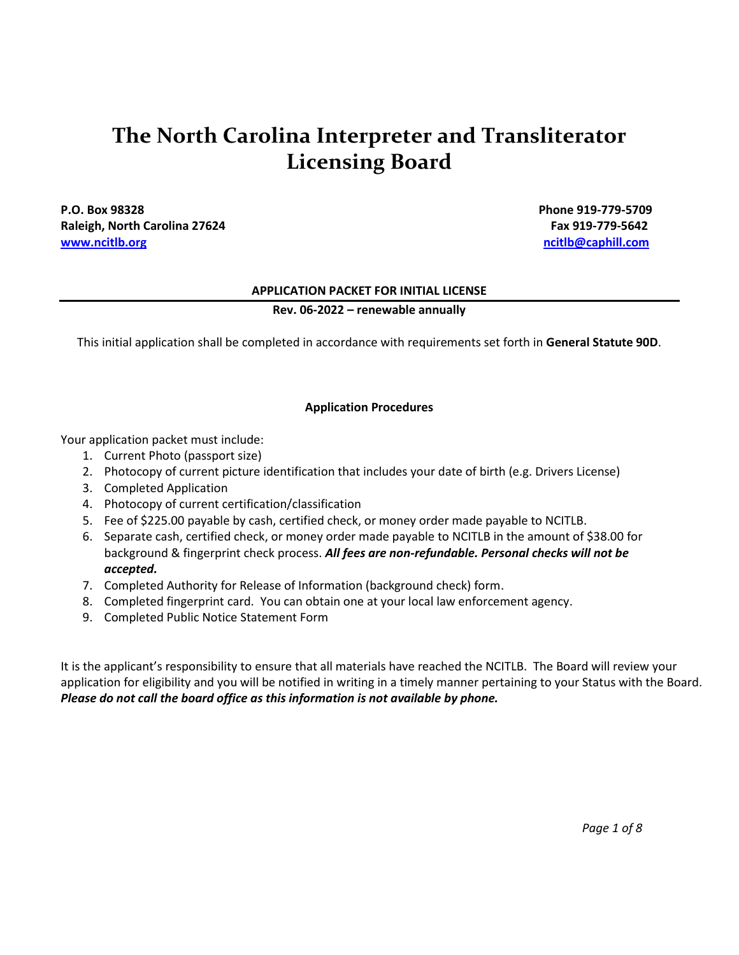# **The North Carolina Interpreter and Transliterator Licensing Board**

**P.O. Box 98328 Phone 919-779-5709** Raleigh, North Carolina 27624 **Fax 919-779-5642** Fax 919-779-5642 **[www.ncitlb.org](http://www.ncitlb.org/) [ncitlb@caphill.com](mailto:ncitlb@caphill.com)**

#### **APPLICATION PACKET FOR INITIAL LICENSE**

#### **Rev. 06-2022 – renewable annually**

This initial application shall be completed in accordance with requirements set forth in **General Statute 90D**.

#### **Application Procedures**

Your application packet must include:

- 1. Current Photo (passport size)
- 2. Photocopy of current picture identification that includes your date of birth (e.g. Drivers License)
- 3. Completed Application
- 4. Photocopy of current certification/classification
- 5. Fee of \$225.00 payable by cash, certified check, or money order made payable to NCITLB.
- 6. Separate cash, certified check, or money order made payable to NCITLB in the amount of \$38.00 for background & fingerprint check process. *All fees are non-refundable. Personal checks will not be accepted.*
- 7. Completed Authority for Release of Information (background check) form.
- 8. Completed fingerprint card. You can obtain one at your local law enforcement agency.
- 9. Completed Public Notice Statement Form

It is the applicant's responsibility to ensure that all materials have reached the NCITLB. The Board will review your application for eligibility and you will be notified in writing in a timely manner pertaining to your Status with the Board. *Please do not call the board office as this information is not available by phone.*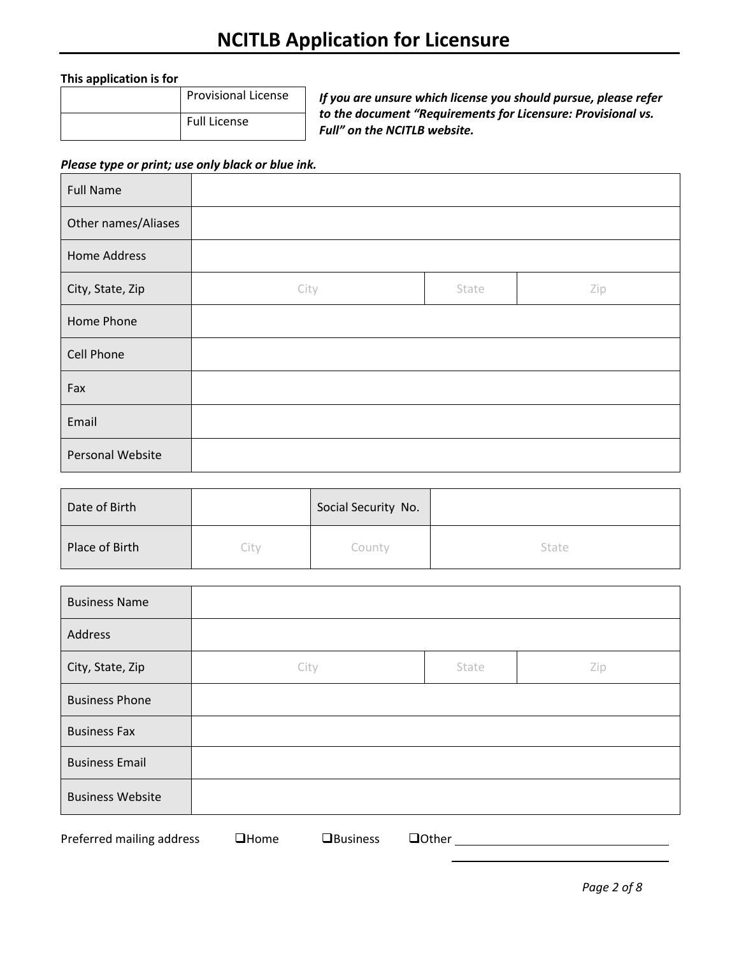#### **This application is for**

| <b>Provisional License</b> |
|----------------------------|
| <b>Full License</b>        |

*If you are unsure which license you should pursue, please refer to the document "Requirements for Licensure: Provisional vs. Full" on the NCITLB website.*

#### *Please type or print; use only black or blue ink.*

| <b>Full Name</b>    |      |       |     |
|---------------------|------|-------|-----|
| Other names/Aliases |      |       |     |
| <b>Home Address</b> |      |       |     |
| City, State, Zip    | City | State | Zip |
| Home Phone          |      |       |     |
| Cell Phone          |      |       |     |
| Fax                 |      |       |     |
| Email               |      |       |     |
| Personal Website    |      |       |     |

| Date of Birth  |      | Social Security No. |       |
|----------------|------|---------------------|-------|
| Place of Birth | City | County              | State |

| <b>Business Name</b>    |      |       |     |
|-------------------------|------|-------|-----|
| Address                 |      |       |     |
| City, State, Zip        | City | State | Zip |
| <b>Business Phone</b>   |      |       |     |
| <b>Business Fax</b>     |      |       |     |
| <b>Business Email</b>   |      |       |     |
| <b>Business Website</b> |      |       |     |

Preferred mailing address ❑Home ❑Business ❑Other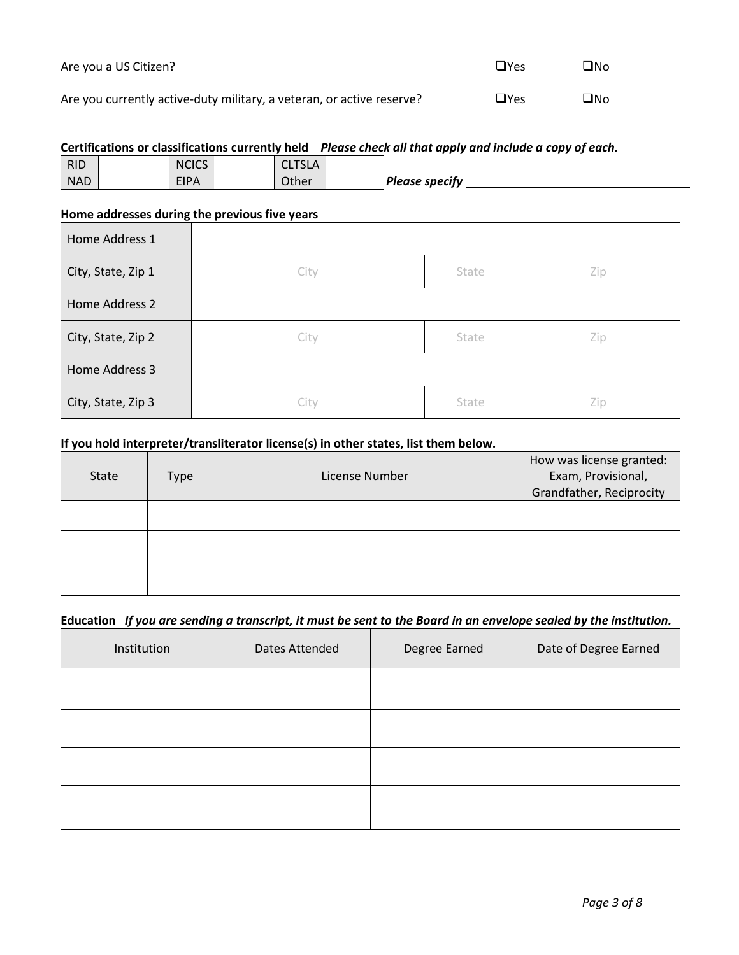| Are you a US Citizen?                                                 | $\Box Y$ es | ⊟No |
|-----------------------------------------------------------------------|-------------|-----|
| Are you currently active-duty military, a veteran, or active reserve? | $\Box$ Yes  | ⊐No |

#### **Certifications or classifications currently held** *Please check all that apply and include a copy of each.*

| <b>RID</b> | <b>NCICS</b> | <b>CLTSLA</b><br><b>ULISLA</b> |                       |
|------------|--------------|--------------------------------|-----------------------|
| <b>NAD</b> | <b>EIPA</b>  | Other                          | <b>Please specify</b> |

#### **Home addresses during the previous five years**

| Home Address 1     |      |       |     |
|--------------------|------|-------|-----|
| City, State, Zip 1 | City | State | Zip |
| Home Address 2     |      |       |     |
| City, State, Zip 2 | City | State | Zip |
| Home Address 3     |      |       |     |
| City, State, Zip 3 | City | State | Zip |

#### **If you hold interpreter/transliterator license(s) in other states, list them below.**

| <b>State</b> | Type | License Number | How was license granted:<br>Exam, Provisional,<br>Grandfather, Reciprocity |
|--------------|------|----------------|----------------------------------------------------------------------------|
|              |      |                |                                                                            |
|              |      |                |                                                                            |
|              |      |                |                                                                            |

#### **Education** *If you are sending a transcript, it must be sent to the Board in an envelope sealed by the institution.*

| Institution | Dates Attended | Degree Earned | Date of Degree Earned |
|-------------|----------------|---------------|-----------------------|
|             |                |               |                       |
|             |                |               |                       |
|             |                |               |                       |
|             |                |               |                       |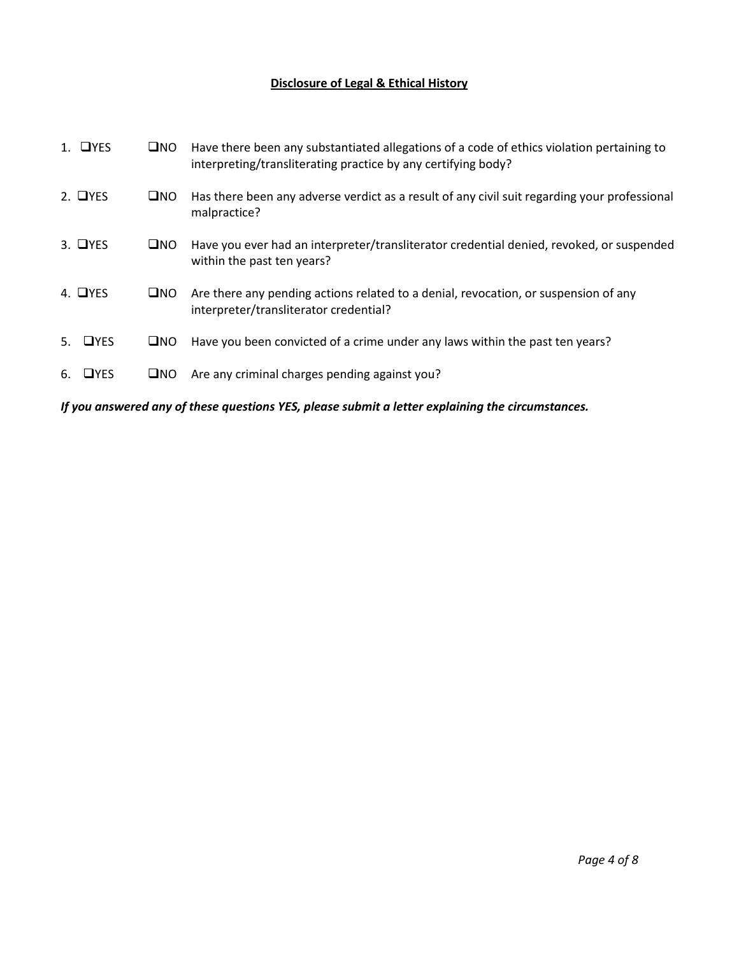## **Disclosure of Legal & Ethical History**

|    | $1.$ OYES       | $\square$ NO | Have there been any substantiated allegations of a code of ethics violation pertaining to<br>interpreting/transliterating practice by any certifying body? |
|----|-----------------|--------------|------------------------------------------------------------------------------------------------------------------------------------------------------------|
|    | $2.$ $\Box$ YES | $\square$ NO | Has there been any adverse verdict as a result of any civil suit regarding your professional<br>malpractice?                                               |
|    | $3.$ $\Box$ YES | $\square$ NO | Have you ever had an interpreter/transliterator credential denied, revoked, or suspended<br>within the past ten years?                                     |
|    | 4. $\Box$ YES   | $\square$ NO | Are there any pending actions related to a denial, revocation, or suspension of any<br>interpreter/transliterator credential?                              |
|    | 5. $QYES$       | $\square$ NO | Have you been convicted of a crime under any laws within the past ten years?                                                                               |
| 6. | $\Box$ YES      | $\square$ NO | Are any criminal charges pending against you?                                                                                                              |
|    |                 |              |                                                                                                                                                            |

*If you answered any of these questions YES, please submit a letter explaining the circumstances.*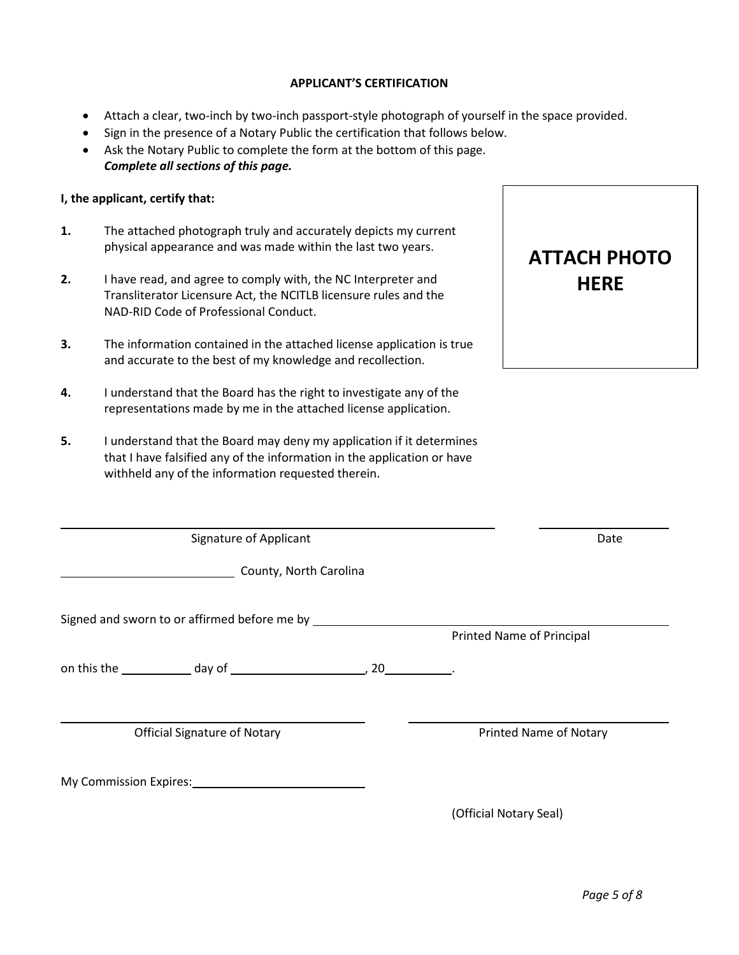#### **APPLICANT'S CERTIFICATION**

- Attach a clear, two-inch by two-inch passport-style photograph of yourself in the space provided.
- Sign in the presence of a Notary Public the certification that follows below. Ask the Notary Public to complete the form at the bottom of this page.
- *Complete all sections of this page.*

#### **I, the applicant, certify that:**

- **1.** The attached photograph truly and accurately depicts my current physical appearance and was made within the last two years.
- **2.** I have read, and agree to comply with, the NC Interpreter and Transliterator Licensure Act, the NCITLB licensure rules and the NAD-RID Code of Professional Conduct.
- **3.** The information contained in the attached license application is true and accurate to the best of my knowledge and recollection.
- **4.** I understand that the Board has the right to investigate any of the representations made by me in the attached license application.
- **5.** I understand that the Board may deny my application if it determines that I have falsified any of the information in the application or have withheld any of the information requested therein.

My Commission Expires:

| withheld any of the information requested therein. |                        |                               |  |
|----------------------------------------------------|------------------------|-------------------------------|--|
| Signature of Applicant                             |                        | Date                          |  |
|                                                    | County, North Carolina |                               |  |
| Signed and sworn to or affirmed before me by       |                        | Printed Name of Principal     |  |
| on this the day of the day of                      | $20$ $\qquad \qquad$   |                               |  |
| <b>Official Signature of Notary</b>                |                        | <b>Printed Name of Notary</b> |  |
|                                                    |                        |                               |  |

(Official Notary Seal)

**ATTACH PHOTO** 

**HERE**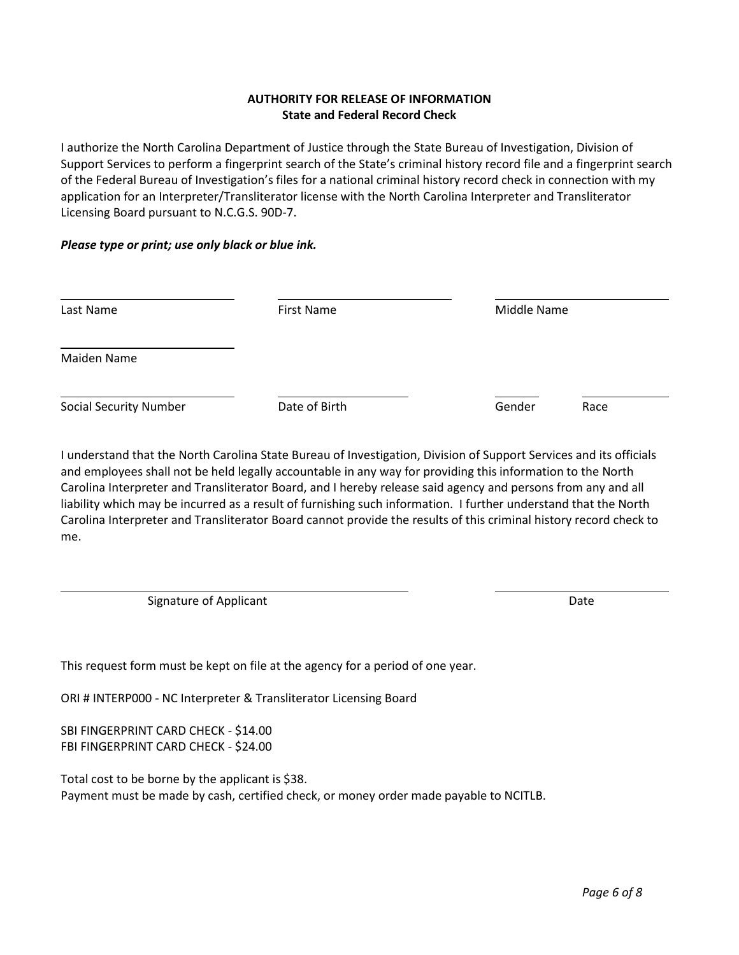#### **AUTHORITY FOR RELEASE OF INFORMATION State and Federal Record Check**

I authorize the North Carolina Department of Justice through the State Bureau of Investigation, Division of Support Services to perform a fingerprint search of the State's criminal history record file and a fingerprint search of the Federal Bureau of Investigation's files for a national criminal history record check in connection with my application for an Interpreter/Transliterator license with the North Carolina Interpreter and Transliterator Licensing Board pursuant to N.C.G.S. 90D-7.

#### *Please type or print; use only black or blue ink.*

| Last Name                     | <b>First Name</b> | Middle Name    |  |
|-------------------------------|-------------------|----------------|--|
| Maiden Name                   |                   |                |  |
| <b>Social Security Number</b> | Date of Birth     | Gender<br>Race |  |

I understand that the North Carolina State Bureau of Investigation, Division of Support Services and its officials and employees shall not be held legally accountable in any way for providing this information to the North Carolina Interpreter and Transliterator Board, and I hereby release said agency and persons from any and all liability which may be incurred as a result of furnishing such information. I further understand that the North Carolina Interpreter and Transliterator Board cannot provide the results of this criminal history record check to me.

Signature of Applicant Date of Applicant Date of Applicant Date of Applicant Date of Applicant Date of Applicant Date of Applicant Date of Applicant Date of Applicant Date of Applicant Date of Applicant Date of Applicant D

This request form must be kept on file at the agency for a period of one year.

ORI # INTERP000 - NC Interpreter & Transliterator Licensing Board

SBI FINGERPRINT CARD CHECK - \$14.00 FBI FINGERPRINT CARD CHECK - \$24.00

Total cost to be borne by the applicant is \$38. Payment must be made by cash, certified check, or money order made payable to NCITLB.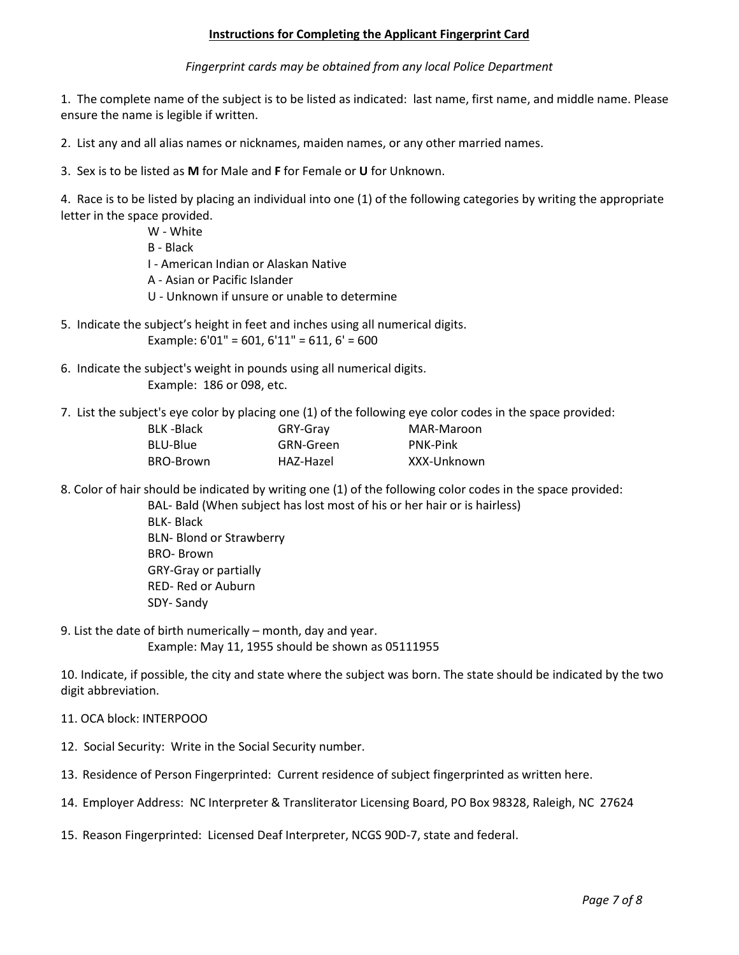#### **Instructions for Completing the Applicant Fingerprint Card**

*Fingerprint cards may be obtained from any local Police Department*

1. The complete name of the subject is to be listed as indicated: last name, first name, and middle name. Please ensure the name is legible if written.

2. List any and all alias names or nicknames, maiden names, or any other married names.

3. Sex is to be listed as **M** for Male and **F** for Female or **U** for Unknown.

4. Race is to be listed by placing an individual into one (1) of the following categories by writing the appropriate letter in the space provided.

- W White B - Black I - American Indian or Alaskan Native A - Asian or Pacific Islander U - Unknown if unsure or unable to determine
- 5. Indicate the subject's height in feet and inches using all numerical digits. Example:  $6'01'' = 601$ ,  $6'11'' = 611$ ,  $6' = 600$
- 6. Indicate the subject's weight in pounds using all numerical digits. Example: 186 or 098, etc.
- 7. List the subject's eye color by placing one (1) of the following eye color codes in the space provided:

| BLK-Black | GRY-Gray  | MAR-Maroon      |
|-----------|-----------|-----------------|
| BLU-Blue  | GRN-Green | <b>PNK-Pink</b> |
| BRO-Brown | HAZ-Hazel | XXX-Unknown     |

8. Color of hair should be indicated by writing one (1) of the following color codes in the space provided:

BAL- Bald (When subject has lost most of his or her hair or is hairless) BLK- Black BLN- Blond or Strawberry BRO- Brown GRY-Gray or partially RED- Red or Auburn SDY- Sandy

9. List the date of birth numerically – month, day and year. Example: May 11, 1955 should be shown as 05111955

10. Indicate, if possible, the city and state where the subject was born. The state should be indicated by the two digit abbreviation.

- 11. OCA block: INTERPOOO
- 12. Social Security: Write in the Social Security number.
- 13. Residence of Person Fingerprinted: Current residence of subject fingerprinted as written here.
- 14. Employer Address: NC Interpreter & Transliterator Licensing Board, PO Box 98328, Raleigh, NC 27624
- 15. Reason Fingerprinted: Licensed Deaf Interpreter, NCGS 90D-7, state and federal.